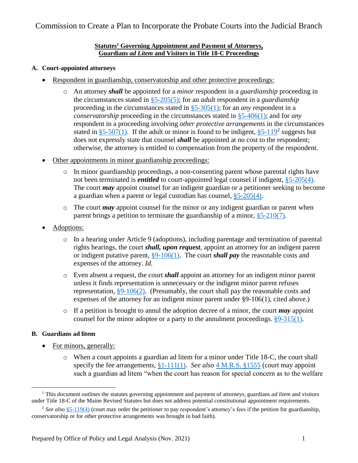# Commission to Create a Plan to Incorporate the Probate Courts into the Judicial Branch

#### **Statutes<sup>1</sup> Governing Appointment and Payment of Attorneys, Guardians** *ad Litem* **and Visitors in Title 18-C Proceedings**

### **A. Court-appointed attorneys**

- Respondent in guardianship, conservatorship and other protective proceedings:
	- o An attorney *shall* be appointed for a *minor* respondent in a *guardianship* proceeding in the circumstances stated in [§5-205\(5\);](https://legislature.maine.gov/legis/statutes/18-C/title18-Csec5-205.html) for an *adult* respondent in a *guardianship* proceeding in the circumstances stated in [§5-305\(1\);](https://legislature.maine.gov/legis/statutes/18-C/title18-Csec5-305.html) for an *any* respondent in a *conservatorship* proceeding in the circumstances stated in [§5-406\(1\);](https://legislature.maine.gov/legis/statutes/18-C/title18-Csec5-406.html) and for *any* respondent in a proceeding involving *other protective arrangements* in the circumstances stated in  $\S5-507(1)$ . If the adult or minor is found to be indigent,  $\S5-119^2$  suggests but does not expressly state that counsel *shall* be appointed at no cost to the respondent; otherwise, the attorney is entitled to compensation from the property of the respondent.
- Other appointments in minor guardianship proceedings:
	- o In minor guardianship proceedings, a non-consenting parent whose parental rights have not been terminated is *entitled* to court-appointed legal counsel if indigent, [§5-205\(4\).](https://legislature.maine.gov/legis/statutes/18-C/title18-Csec5-205.html) The court *may* appoint counsel for an indigent guardian or a petitioner seeking to become a guardian when a parent or legal custodian has counsel, [§5-205\(4\).](https://legislature.maine.gov/legis/statutes/18-C/title18-Csec5-205.html)
	- o The court *may* appoint counsel for the minor or any indigent guardian or parent when parent brings a petition to terminate the guardianship of a minor,  $\S$ 5-210(7).
- Adoptions:
	- o In a hearing under Article 9 (adoptions), including parentage and termination of parental rights hearings, the court *shall, upon request*, appoint an attorney for an indigent parent or indigent putative parent, [§9-106\(1\).](https://legislature.maine.gov/legis/statutes/18-C/title18-Csec9-106.html) The court *shall pay* the reasonable costs and expenses of the attorney. *Id.*
	- o Even absent a request, the court *shall* appoint an attorney for an indigent minor parent unless it finds representation is unnecessary or the indigent minor parent refuses representation, [§9-106\(2\).](https://legislature.maine.gov/legis/statutes/18-C/title18-Csec9-106.html) (Presumably, the court shall pay the reasonable costs and expenses of the attorney for an indigent minor parent under §9-106(1), cited above.)
	- o If a petition is brought to annul the adoption decree of a minor, the court *may* appoint counsel for the minor adoptee or a party to the annulment proceedings. [§9-315\(1\).](https://legislature.maine.gov/legis/statutes/18-C/title18-Csec9-315.html)

## **B. Guardians ad litem**

l

- For minors, generally:
	- o When a court appoints a guardian ad litem for a minor under Title 18-C, the court shall specify the fee arrangements, [§1-111\(1\).](https://legislature.maine.gov/legis/statutes/18-C/title18-Csec1-111.html) *See also* [4 M.R.S. §1555](https://legislature.maine.gov/legis/statutes/4/title4sec1555.html) (court may appoint such a guardian ad litem "when the court has reason for special concern as to the welfare

<sup>1</sup> This document outlines the statutes governing appointment and payment of attorneys, guardians *ad litem* and visitors under Title 18-C of the Maine Revised Statutes but does not address potential constitutional appointment requirements.

<sup>&</sup>lt;sup>2</sup> See also [§5-119\(4\)](https://legislature.maine.gov/legis/statutes/5/title5sec119.html) (court may order the petitioner to pay respondent's attorney's fees if the petition for guardianship, conservatorship or for other protective arrangements was brought in bad faith).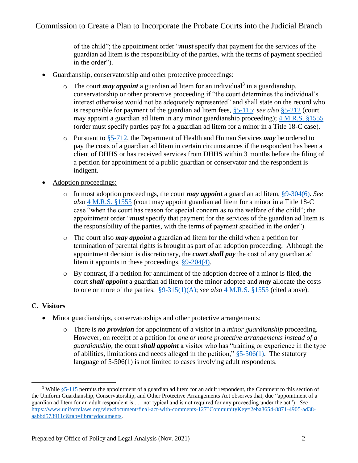of the child"; the appointment order "*must* specify that payment for the services of the guardian ad litem is the responsibility of the parties, with the terms of payment specified in the order").

- Guardianship, conservatorship and other protective proceedings:
	- $\circ$  The court *may appoint* a guardian ad litem for an individual<sup>3</sup> in a guardianship, conservatorship or other protective proceeding if "the court determines the individual's interest otherwise would not be adequately represented" and shall state on the record who is responsible for payment of the guardian ad litem fees, [§5-115;](https://legislature.maine.gov/legis/statutes/18-C/title18-Csec5-115.html) *see also* [§5-212](https://legislature.maine.gov/legis/statutes/18-C/title18-Csec5-212.html) (court may appoint a guardian ad litem in any minor guardianship proceeding); [4 M.R.S. §1555](https://legislature.maine.gov/legis/statutes/4/title4sec1555.html) (order must specify parties pay for a guardian ad litem for a minor in a Title 18-C case).
	- o Pursuant to [§5-712,](https://legislature.maine.gov/legis/statutes/18-C/title18-Csec5-712.html) the Department of Health and Human Services *may* be ordered to pay the costs of a guardian ad litem in certain circumstances if the respondent has been a client of DHHS or has received services from DHHS within 3 months before the filing of a petition for appointment of a public guardian or conservator and the respondent is indigent.
- Adoption proceedings:
	- o In most adoption proceedings, the court *may appoint* a guardian ad litem, [§9-304\(6\).](https://legislature.maine.gov/legis/statutes/18-C/title18-Csec9-304.html) *See also* [4 M.R.S. §1555](https://legislature.maine.gov/legis/statutes/4/title4sec1555.html) (court may appoint guardian ad litem for a minor in a Title 18-C case "when the court has reason for special concern as to the welfare of the child"; the appointment order "*must* specify that payment for the services of the guardian ad litem is the responsibility of the parties, with the terms of payment specified in the order").
	- o The court also *may appoint* a guardian ad litem for the child when a petition for termination of parental rights is brought as part of an adoption proceeding. Although the appointment decision is discretionary, the *court shall pay* the cost of any guardian ad litem it appoints in these proceedings, [§9-204\(4\).](https://legislature.maine.gov/legis/statutes/18-C/title18-Csec9-204.html)
	- o By contrast, if a petition for annulment of the adoption decree of a minor is filed, the court *shall appoint* a guardian ad litem for the minor adoptee and *may* allocate the costs to one or more of the parties.  $\S 9-315(1)(A)$ ; *see also* [4 M.R.S. §1555](https://legislature.maine.gov/legis/statutes/4/title4sec1555.html) (cited above).

## **C. Visitors**

 $\overline{a}$ 

- Minor guardianships, conservatorships and other protective arrangements:
	- o There is *no provision* for appointment of a visitor in a *minor guardianship* proceeding. However, on receipt of a petition for *one or more protective arrangements instead of a guardianship*, the court *shall appoint* a visitor who has "training or experience in the type of abilities, limitations and needs alleged in the petition,"  $§ 5-506(1)$ . The statutory language of 5-506(1) is not limited to cases involving adult respondents.

<sup>&</sup>lt;sup>3</sup> While [§5-115](https://legislature.maine.gov/legis/statutes/18-C/title18-Csec5-115.html) permits the appointment of a guardian ad litem for an adult respondent, the Comment to this section of the Uniform Guardianship, Conservatorship, and Other Protective Arrangements Act observes that, due "appointment of a guardian ad litem for an adult respondent is . . . not typical and is not required for any proceeding under the act"). *See*  [https://www.uniformlaws.org/viewdocument/final-act-with-comments-127?CommunityKey=2eba8654-8871-4905-ad38](https://www.uniformlaws.org/viewdocument/final-act-with-comments-127?CommunityKey=2eba8654-8871-4905-ad38-aabbd573911c&tab=librarydocuments) [aabbd573911c&tab=librarydocuments.](https://www.uniformlaws.org/viewdocument/final-act-with-comments-127?CommunityKey=2eba8654-8871-4905-ad38-aabbd573911c&tab=librarydocuments)